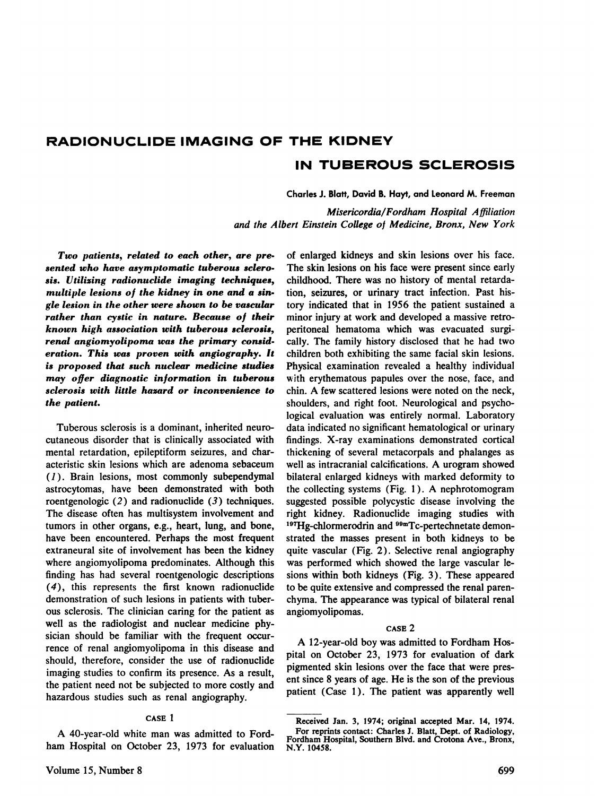# **RADIONUCLIDE IMAGING OF THE KIDNEY IN TUBEROUS SCLEROSIS**

Charles J. Blatt, David B. Hayt, and Leonard M. Freeman

*Misericordia/Fordham Hospital Affiliation and the Albert Einstein College of Medicine, Bronx, New York*

*Two patients, related to each other, are pre sented who have asymptomatic tuberous sclero sis. Utilizing radionuclide imaging techniques, multiple lesions of the kidney in one and a sin gle lesion in the other were shown to be vascular rather than cystic in nature. Because of their known high association with tuberous sclerosis, renal angiomyolipoma was the primary consid eration. This was proven with angiography. It is proposed that such nuclear medicine studies may offer diagnostic information in tuberous sclerosis with little hazard or inconvenience to the patient.*

Tuberous sclerosis is a dominant, inherited neuro cutaneous disorder that is clinically associated with mental retardation, epileptiform seizures, and char acteristic skin lesions which are adenoma sebaceum *(1 ) . Brain lesions, most commonly subependymal* astrocytomas, have been demonstrated with both roentgenologic  $(2)$  and radionuclide  $(3)$  techniques. The disease often has multisystem involvement and tumors in other organs, e.g., heart, lung, and bone, have been encountered. Perhaps the most frequent extraneural site of involvement has been the kidney where angiomyolipoma predominates. Although this finding has had several roentgenologic descriptions **(4), this represents the first known radionuclide** demonstration of such lesions in patients with tuber ous sclerosis. The clinician caring for the patient as well as the radiologist and nuclear medicine phy sician should be familiar with the frequent occur rence of renal angiomyolipoma in this disease and should, therefore, consider the use of radionuclide imaging studies to confirm its presence. As a result, the patient need not be subjected to more costly and hazardous studies such as renal angiography.

# CASE I

A 40-year-old white man was admitted to Ford ham Hospital on October 23, 1973 for evaluation

of enlarged kidneys and skin lesions over his face. The skin lesions on his face were present since early childhood. There was no history of mental retarda tion, seizures, or urinary tract infection. Past his tory indicated that in 1956 the patient sustained a minor injury at work and developed a massive retro peritoneal hematoma which was evacuated surgi cally. The family history disclosed that he had two children both exhibiting the same facial skin lesions. Physical examination revealed a healthy individual with erythematous papules over the nose, face, and chin. A few scattered lesions were noted on the neck, shoulders, and right foot. Neurological and psycho logical evaluation was entirely normal. Laboratory data indicated no significant hematological or urinary findings. X-ray examinations demonstrated cortical thickening of several metacorpals and phalanges as well as intracranial calcifications. A urogram showed bilateral enlarged kidneys with marked deformity to the collecting systems (Fig. I ). A nephrotomogram suggested possible polycystic disease involving the right kidney. Radionuclide imaging studies with 197Hg-chlormerodrin and <sup>99m</sup>Tc-pertechnetate demonstrated the masses present in both kidneys to be quite vascular (Fig. 2). Selective renal angiography was performed which showed the large vascular lesions within both kidneys (Fig. 3). These appeared to be quite extensive and compressed the renal paren chyma. The appearance was typical of bilateral renal angiomyolipomas.

## CASE 2

**A 12-year-old boy was admitted to Fordham Hos** pital on October 23, 1973 for evaluation of dark pigmented skin lesions over the face that were pres ent since 8 years of age. He is the son of the previous patient (Case 1). The patient was apparently well

Received Jan. 3, 1974; original accepted Mar. 14, 1974. For reprints contact: Charles J. Blatt, Dept. of Radiology, Fordham Hospital, Southern Blvd. and Crotona Ave., Bronx, N.Y. 10458.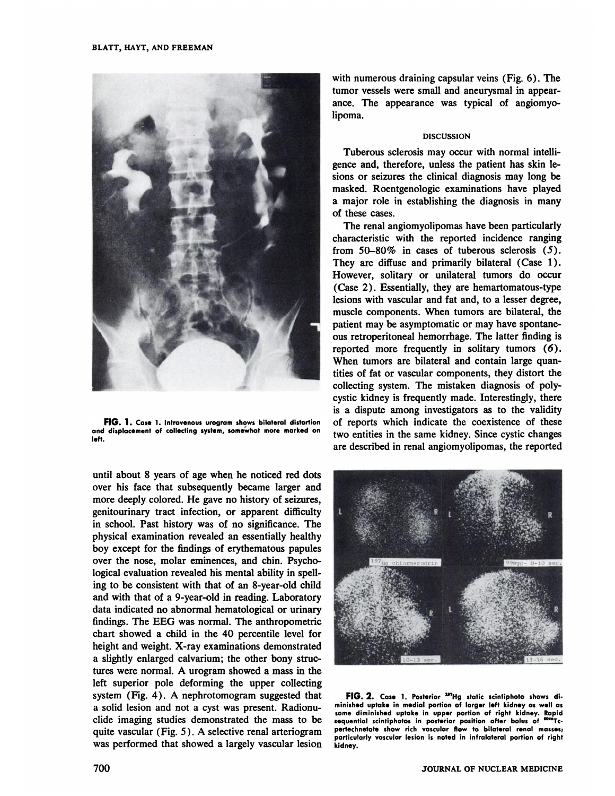

**FIG.** 1. Case 1. Intravenous urogram shows bilateral distortion **and displacement of collecting system,somewhat more marked on left.**

until about 8 years of age when he noticed red dots over his face that subsequently became larger and more deeply colored. He gave no history of seizures, genitourinary tract infection, or apparent difficulty in school. Past history was of no significance. The physical examination revealed an essentially healthy boy except for the findings of erythematous papules over the nose, molar eminences, and chin. Psycho logical evaluation revealed his mental ability in spell ing to be consistent with that of an 8-year-old child and with that of a 9-year-old in reading. Laboratory data indicated no abnormal hematological or urinary findings. The EEG was normal. The anthropometric chart showed a child in the 40 percentile level for height and weight. X-ray examinations demonstrated a slightly enlarged calvarium; the other bony struc tures were normal. A urogram showed a mass in the left superior pole deforming the upper collecting system (Fig. 4) . A nephrotomogram suggested that a solid lesion and not a cyst was present. Radionu clide imaging studies demonstrated the mass to be quite vascular (Fig. 5 ). A selective renal arteriogram was performed that showed a largely vascular lesion with numerous draining capsular veins (Fig. 6). The tumor vessels were small and aneurysmal in appear ance. The appearance was typical of angiomyo lipoma.

## **DISCUSSION**

Tuberous sclerosis may occur with normal intelli gence and, therefore, unless the patient has skin le sions or seizures the clinical diagnosis may long be masked. Roentgenologic examinations have played a major role in establishing the diagnosis in many of these cases.

The renal angiomyolipomas have been particularly characteristic with the reported incidence ranging from  $50-80\%$  in cases of tuberous sclerosis (5). They are diffuse and primarily bilateral (Case 1). However, solitary or unilateral tumors do occur (Case 2). Essentially, they are hemartomatous-type lesions with vascular and fat and, to a lesser degree, muscle components. When tumors are bilateral, the patient may be asymptomatic or may have spontane ous retroperitoneal hemorrhage. The latter finding is reported more frequently in solitary tumors (6). When tumors are bilateral and contain large quantities of fat or vascular components, they distort the collecting system. The mistaken diagnosis of poly cystic kidney is frequently made. Interestingly, there is a dispute among investigators as to the validity of reports which indicate the coexistence of these two entities in the same kidney. Since cystic changes are described in renal angiomyolipomas, the reported



**FIG.** 2. Case 1. Posterior <sup>197</sup>Hg static scintiphoto shows di**minished uptake in medial portion of larger left kidney as wellas some diminished uptake in upper portion of right kidney. Rapid sequential scintiphotosin posterior position after bolus of @mTc. pertechnetate show rich vascular flow to bilateral renal masses;** particularly vascular lesion is noted in infralateral portion of right **kidney.**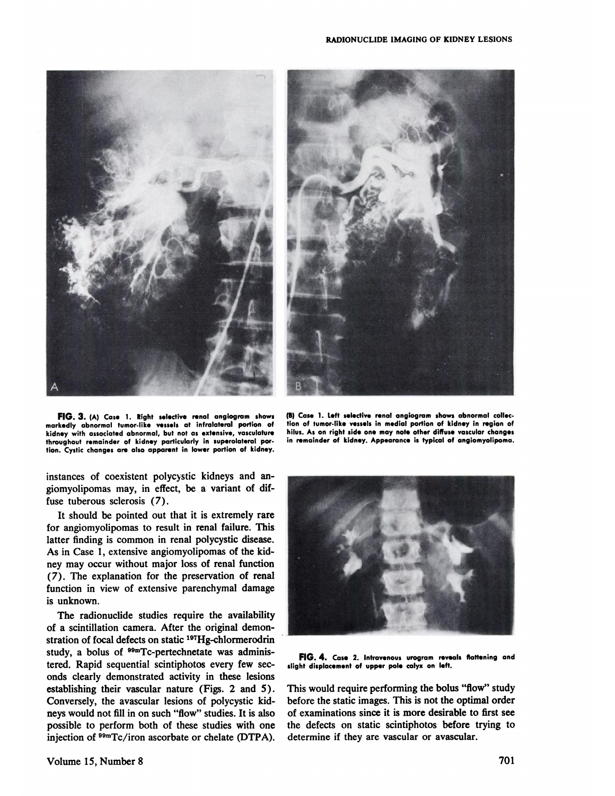



FIG. 3. (A) Case 1. Right selective renal angiogram shows **markedly abnormal tumor-like vessels at infralateral portion of kidney with associatedabnormal, but not as extensive, vasculature throughout remainder of kidney particularly in superolateral per. tion. Cystic changes are also apporent in lower portion of kidney.**

**(B) Case 1. Left selective renal angiogram showsabnormal collec.** tion of tumor-like vessels in medial portion of kidney in region of **hilus. As on right side one may note other diffuse vascularchanges in remainder of kidney. Appearance is typical of angiomyolipoma.**

instances of coexistent polycystic kidneys and an giomyolipomas may, in effect, be a variant of dif fuse tuberous sclerosis (7).

It should be pointed out that it is extremely rare for angiomyolipomas to result in renal failure. This latter finding is common in renal polycystic disease. As in Case 1, extensive angiomyolipomas of the kid ney may occur without major loss of renal function *(7). The explanation for the preservation of renal* function in view of extensive parenchymal damage is unknown. As in Case 1, extensive angiomyolipomas of the kid-<br>ney may occur without major loss of renal function<br>(7). The explanation for the preservation of renal

The radionuclide studies require the availability of a scintillation camera. After the original demon stration of focal defects on static 197Hg-chlormerodrin study, a bolus of <sup>99m</sup>Tc-pertechnetate was administered. Rapid sequential scintiphotos every few sec onds clearly demonstrated activity in these lesions establishing their vascular nature (Figs. 2 and 5). Conversely, the avascular lesions of polycystic kid neys would not fill in on such "flow" studies. It is also possible to perform both of these studies with one injection of  $89mTc/$ iron ascorbate or chelate (DTPA).



**FIG. 4. Case2. Intravenousurogram reveals flattening and slight displacementof upper pole calyx on left.**

This would require performing the bolus "flow" study before the static images. This is not the optimal order of examinations since it is more desirable to first see the defects on static scintiphotos before trying to determine if they are vascular or avascular.